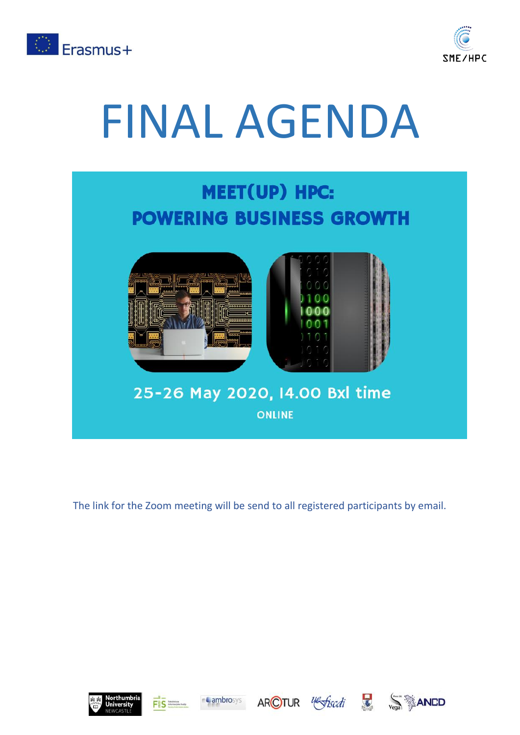



## FINAL AGENDA



The link for the Zoom meeting will be send to all registered participants by email.